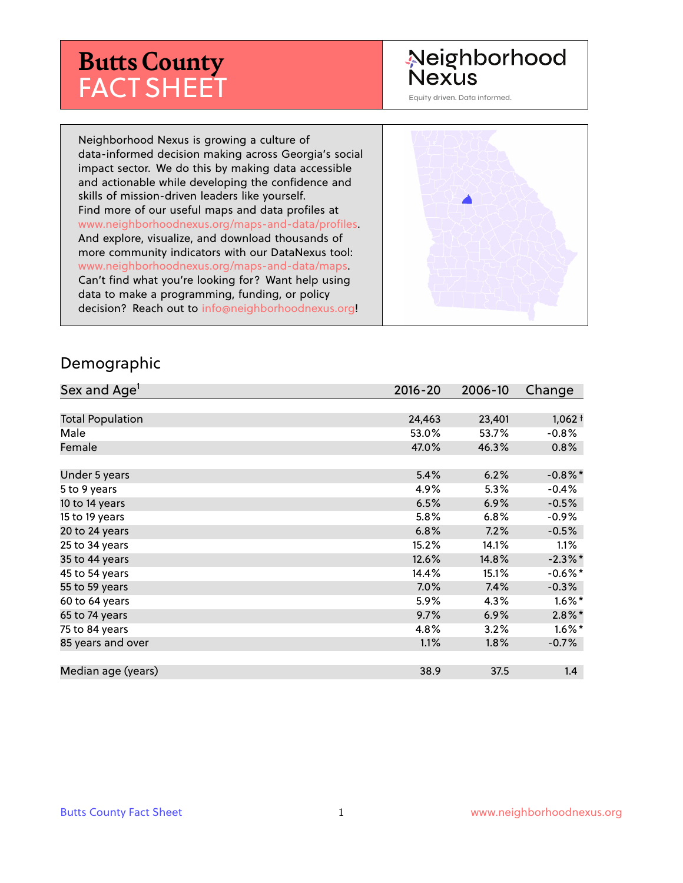# **Butts County** FACT SHEET

# Neighborhood **Nexus**

Equity driven. Data informed.

Neighborhood Nexus is growing a culture of data-informed decision making across Georgia's social impact sector. We do this by making data accessible and actionable while developing the confidence and skills of mission-driven leaders like yourself. Find more of our useful maps and data profiles at www.neighborhoodnexus.org/maps-and-data/profiles. And explore, visualize, and download thousands of more community indicators with our DataNexus tool: www.neighborhoodnexus.org/maps-and-data/maps. Can't find what you're looking for? Want help using data to make a programming, funding, or policy decision? Reach out to [info@neighborhoodnexus.org!](mailto:info@neighborhoodnexus.org)



#### Demographic

| Sex and Age <sup>1</sup> | $2016 - 20$ | 2006-10 | Change     |
|--------------------------|-------------|---------|------------|
|                          |             |         |            |
| <b>Total Population</b>  | 24,463      | 23,401  | $1,062+$   |
| Male                     | 53.0%       | 53.7%   | $-0.8%$    |
| Female                   | 47.0%       | 46.3%   | 0.8%       |
|                          |             |         |            |
| Under 5 years            | 5.4%        | 6.2%    | $-0.8\%$ * |
| 5 to 9 years             | 4.9%        | 5.3%    | $-0.4%$    |
| 10 to 14 years           | 6.5%        | 6.9%    | $-0.5%$    |
| 15 to 19 years           | 5.8%        | 6.8%    | $-0.9\%$   |
| 20 to 24 years           | 6.8%        | 7.2%    | $-0.5%$    |
| 25 to 34 years           | 15.2%       | 14.1%   | $1.1\%$    |
| 35 to 44 years           | 12.6%       | 14.8%   | $-2.3\%$ * |
| 45 to 54 years           | 14.4%       | 15.1%   | $-0.6%$ *  |
| 55 to 59 years           | 7.0%        | 7.4%    | $-0.3%$    |
| 60 to 64 years           | 5.9%        | 4.3%    | $1.6\%$ *  |
| 65 to 74 years           | 9.7%        | 6.9%    | $2.8\%$ *  |
| 75 to 84 years           | 4.8%        | 3.2%    | $1.6\%$ *  |
| 85 years and over        | 1.1%        | $1.8\%$ | $-0.7%$    |
|                          |             |         |            |
| Median age (years)       | 38.9        | 37.5    | 1.4        |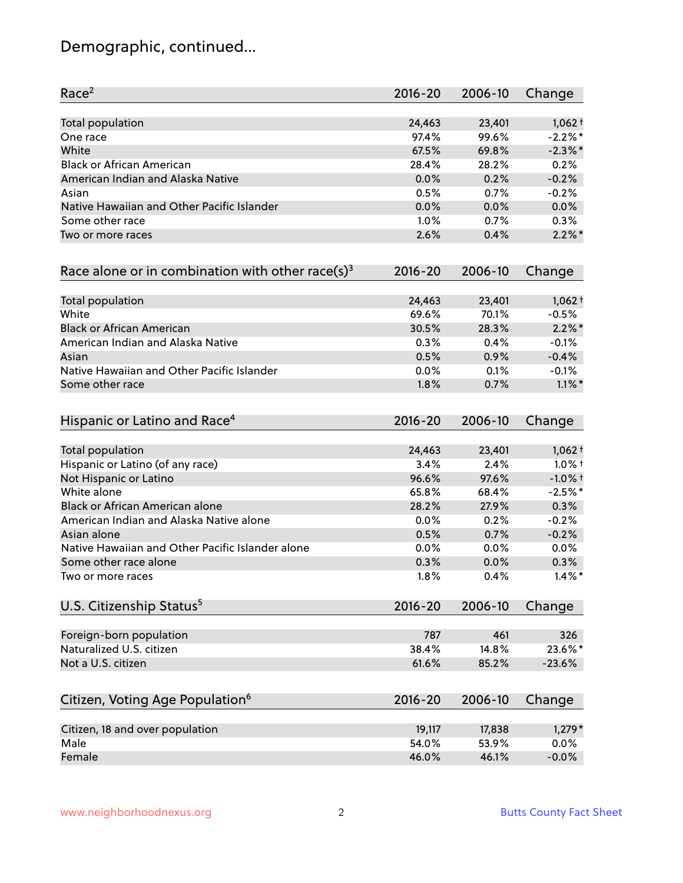# Demographic, continued...

| Race <sup>2</sup>                                   | $2016 - 20$ | 2006-10 | Change     |
|-----------------------------------------------------|-------------|---------|------------|
| <b>Total population</b>                             | 24,463      | 23,401  | $1,062+$   |
| One race                                            | 97.4%       | 99.6%   | $-2.2%$ *  |
| White                                               | 67.5%       | 69.8%   | $-2.3\%$ * |
| <b>Black or African American</b>                    | 28.4%       | 28.2%   | 0.2%       |
| American Indian and Alaska Native                   | 0.0%        | 0.2%    | $-0.2%$    |
| Asian                                               | 0.5%        | 0.7%    | $-0.2%$    |
| Native Hawaiian and Other Pacific Islander          | 0.0%        | 0.0%    | 0.0%       |
| Some other race                                     | 1.0%        | 0.7%    | 0.3%       |
| Two or more races                                   | 2.6%        | 0.4%    | $2.2\%$ *  |
| Race alone or in combination with other race(s) $3$ | $2016 - 20$ | 2006-10 | Change     |
| Total population                                    | 24,463      | 23,401  | $1,062 +$  |
| White                                               | 69.6%       | 70.1%   | $-0.5%$    |
| <b>Black or African American</b>                    | 30.5%       | 28.3%   | $2.2\%$ *  |
| American Indian and Alaska Native                   | 0.3%        | 0.4%    | $-0.1%$    |
| Asian                                               | 0.5%        | 0.9%    | $-0.4%$    |
| Native Hawaiian and Other Pacific Islander          | 0.0%        | 0.1%    | $-0.1%$    |
| Some other race                                     | 1.8%        | 0.7%    | $1.1\%$ *  |
| Hispanic or Latino and Race <sup>4</sup>            | $2016 - 20$ | 2006-10 | Change     |
| Total population                                    | 24,463      | 23,401  | $1,062 +$  |
| Hispanic or Latino (of any race)                    | 3.4%        | 2.4%    | $1.0\%$ †  |
| Not Hispanic or Latino                              | 96.6%       | 97.6%   | $-1.0%$ +  |
| White alone                                         | 65.8%       | 68.4%   | $-2.5%$ *  |
| Black or African American alone                     | 28.2%       | 27.9%   | 0.3%       |
| American Indian and Alaska Native alone             | $0.0\%$     | 0.2%    | $-0.2%$    |
| Asian alone                                         | 0.5%        | 0.7%    | $-0.2%$    |
| Native Hawaiian and Other Pacific Islander alone    | 0.0%        | 0.0%    | 0.0%       |
| Some other race alone                               | 0.3%        | 0.0%    | 0.3%       |
| Two or more races                                   | 1.8%        | 0.4%    | $1.4\%$ *  |
| U.S. Citizenship Status <sup>5</sup>                | $2016 - 20$ | 2006-10 | Change     |
| Foreign-born population                             | 787         | 461     | 326        |
| Naturalized U.S. citizen                            | 38.4%       | 14.8%   | 23.6%*     |
| Not a U.S. citizen                                  | 61.6%       | 85.2%   | $-23.6%$   |
| Citizen, Voting Age Population <sup>6</sup>         | $2016 - 20$ | 2006-10 | Change     |
|                                                     |             |         |            |
| Citizen, 18 and over population                     | 19,117      | 17,838  | $1,279*$   |
| Male                                                | 54.0%       | 53.9%   | 0.0%       |
| Female                                              | 46.0%       | 46.1%   | $-0.0%$    |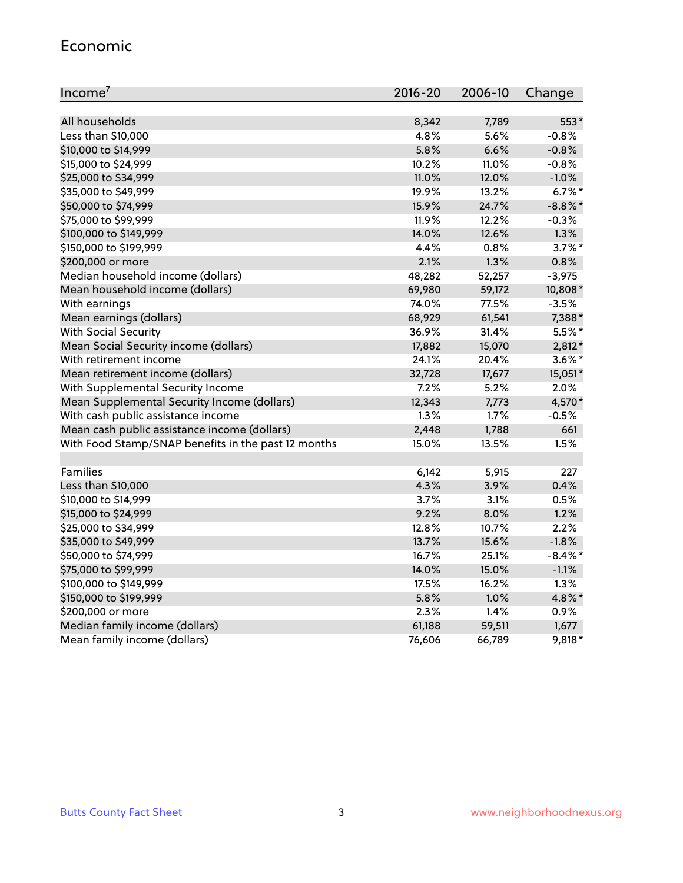#### Economic

| Income <sup>7</sup>                                 | 2016-20 | 2006-10 | Change     |
|-----------------------------------------------------|---------|---------|------------|
|                                                     |         |         |            |
| All households                                      | 8,342   | 7,789   | 553*       |
| Less than \$10,000                                  | 4.8%    | 5.6%    | $-0.8%$    |
| \$10,000 to \$14,999                                | 5.8%    | 6.6%    | $-0.8%$    |
| \$15,000 to \$24,999                                | 10.2%   | 11.0%   | $-0.8%$    |
| \$25,000 to \$34,999                                | 11.0%   | 12.0%   | $-1.0%$    |
| \$35,000 to \$49,999                                | 19.9%   | 13.2%   | $6.7\%$ *  |
| \$50,000 to \$74,999                                | 15.9%   | 24.7%   | $-8.8\%$ * |
| \$75,000 to \$99,999                                | 11.9%   | 12.2%   | $-0.3%$    |
| \$100,000 to \$149,999                              | 14.0%   | 12.6%   | 1.3%       |
| \$150,000 to \$199,999                              | 4.4%    | 0.8%    | $3.7\%$ *  |
| \$200,000 or more                                   | 2.1%    | 1.3%    | 0.8%       |
| Median household income (dollars)                   | 48,282  | 52,257  | $-3,975$   |
| Mean household income (dollars)                     | 69,980  | 59,172  | 10,808*    |
| With earnings                                       | 74.0%   | 77.5%   | $-3.5%$    |
| Mean earnings (dollars)                             | 68,929  | 61,541  | 7,388*     |
| <b>With Social Security</b>                         | 36.9%   | 31.4%   | $5.5%$ *   |
| Mean Social Security income (dollars)               | 17,882  | 15,070  | 2,812*     |
| With retirement income                              | 24.1%   | 20.4%   | $3.6\%$ *  |
| Mean retirement income (dollars)                    | 32,728  | 17,677  | 15,051*    |
| With Supplemental Security Income                   | 7.2%    | 5.2%    | 2.0%       |
| Mean Supplemental Security Income (dollars)         | 12,343  | 7,773   | 4,570*     |
| With cash public assistance income                  | 1.3%    | 1.7%    | $-0.5%$    |
| Mean cash public assistance income (dollars)        | 2,448   | 1,788   | 661        |
| With Food Stamp/SNAP benefits in the past 12 months | 15.0%   | 13.5%   | 1.5%       |
|                                                     |         |         |            |
| Families                                            | 6,142   | 5,915   | 227        |
| Less than \$10,000                                  | 4.3%    | 3.9%    | 0.4%       |
| \$10,000 to \$14,999                                | 3.7%    | 3.1%    | 0.5%       |
| \$15,000 to \$24,999                                | 9.2%    | 8.0%    | 1.2%       |
| \$25,000 to \$34,999                                | 12.8%   | 10.7%   | 2.2%       |
| \$35,000 to \$49,999                                | 13.7%   | 15.6%   | $-1.8%$    |
| \$50,000 to \$74,999                                | 16.7%   | 25.1%   | $-8.4\%$ * |
| \$75,000 to \$99,999                                | 14.0%   | 15.0%   | $-1.1%$    |
| \$100,000 to \$149,999                              | 17.5%   | 16.2%   | 1.3%       |
| \$150,000 to \$199,999                              | 5.8%    | 1.0%    | 4.8%*      |
| \$200,000 or more                                   | 2.3%    | 1.4%    | 0.9%       |
| Median family income (dollars)                      | 61,188  | 59,511  | 1,677      |
| Mean family income (dollars)                        | 76,606  | 66,789  | 9,818*     |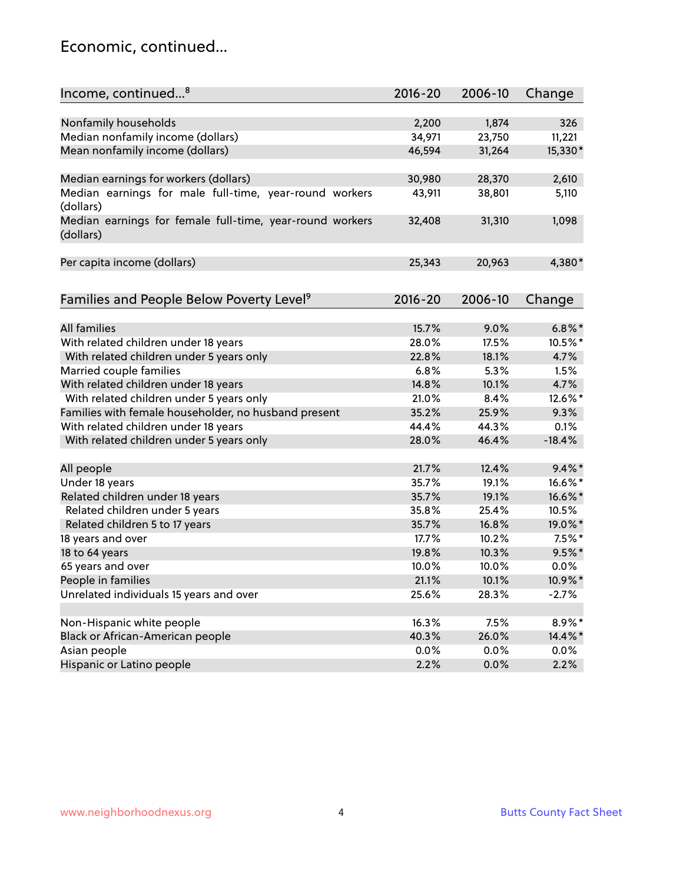### Economic, continued...

| Income, continued <sup>8</sup>                           | $2016 - 20$ | 2006-10 | Change    |
|----------------------------------------------------------|-------------|---------|-----------|
|                                                          |             |         |           |
| Nonfamily households                                     | 2,200       | 1,874   | 326       |
| Median nonfamily income (dollars)                        | 34,971      | 23,750  | 11,221    |
| Mean nonfamily income (dollars)                          | 46,594      | 31,264  | 15,330*   |
|                                                          |             |         |           |
| Median earnings for workers (dollars)                    | 30,980      | 28,370  | 2,610     |
| Median earnings for male full-time, year-round workers   | 43,911      | 38,801  | 5,110     |
| (dollars)                                                |             |         |           |
| Median earnings for female full-time, year-round workers | 32,408      | 31,310  | 1,098     |
| (dollars)                                                |             |         |           |
|                                                          |             |         |           |
| Per capita income (dollars)                              | 25,343      | 20,963  | 4,380*    |
|                                                          |             |         |           |
| Families and People Below Poverty Level <sup>9</sup>     | $2016 - 20$ | 2006-10 | Change    |
|                                                          |             |         |           |
| <b>All families</b>                                      | 15.7%       | 9.0%    | $6.8\%$ * |
| With related children under 18 years                     | 28.0%       | 17.5%   | 10.5%*    |
| With related children under 5 years only                 | 22.8%       | 18.1%   | 4.7%      |
| Married couple families                                  | 6.8%        | 5.3%    | 1.5%      |
| With related children under 18 years                     | 14.8%       | 10.1%   | 4.7%      |
| With related children under 5 years only                 | 21.0%       | 8.4%    | 12.6%*    |
| Families with female householder, no husband present     | 35.2%       | 25.9%   | 9.3%      |
| With related children under 18 years                     | 44.4%       | 44.3%   | 0.1%      |
| With related children under 5 years only                 | 28.0%       | 46.4%   | $-18.4%$  |
|                                                          |             |         |           |
| All people                                               | 21.7%       | 12.4%   | $9.4\%$ * |
| Under 18 years                                           | 35.7%       | 19.1%   | 16.6%*    |
| Related children under 18 years                          | 35.7%       | 19.1%   | 16.6%*    |
| Related children under 5 years                           | 35.8%       | 25.4%   | 10.5%     |
| Related children 5 to 17 years                           | 35.7%       | 16.8%   | 19.0%*    |
| 18 years and over                                        | 17.7%       | 10.2%   | $7.5%$ *  |
| 18 to 64 years                                           | 19.8%       | 10.3%   | $9.5%$ *  |
| 65 years and over                                        | 10.0%       | 10.0%   | $0.0\%$   |
| People in families                                       | 21.1%       | 10.1%   | 10.9%*    |
| Unrelated individuals 15 years and over                  | 25.6%       | 28.3%   | $-2.7%$   |
|                                                          |             |         |           |
| Non-Hispanic white people                                | 16.3%       | 7.5%    | 8.9%*     |
| Black or African-American people                         | 40.3%       | 26.0%   | 14.4%*    |
| Asian people                                             | $0.0\%$     | 0.0%    | $0.0\%$   |
| Hispanic or Latino people                                | 2.2%        | 0.0%    | 2.2%      |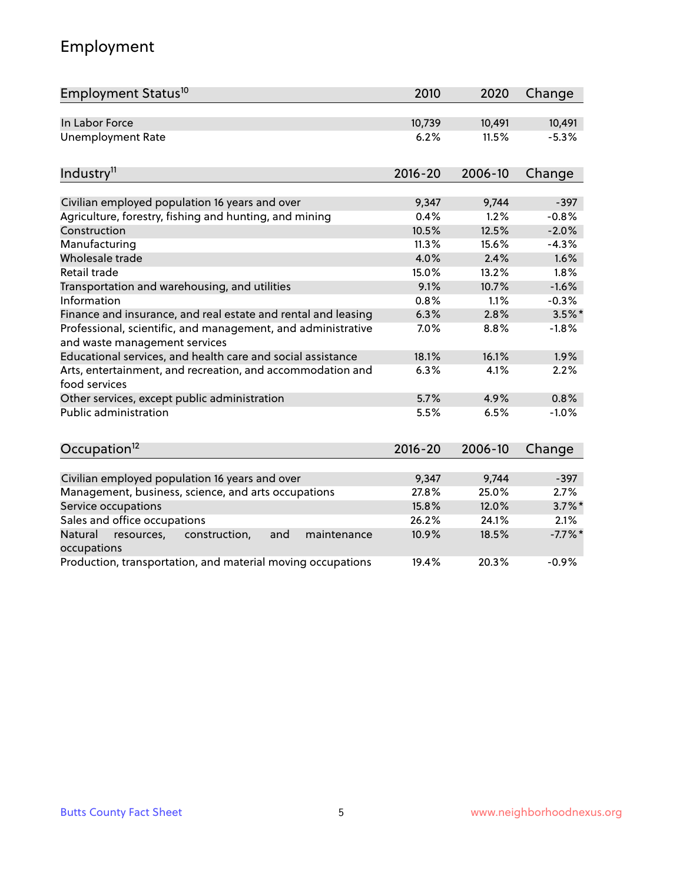# Employment

| Employment Status <sup>10</sup>                                                               | 2010        | 2020    | Change    |
|-----------------------------------------------------------------------------------------------|-------------|---------|-----------|
| In Labor Force                                                                                | 10,739      | 10,491  | 10,491    |
| <b>Unemployment Rate</b>                                                                      | 6.2%        | 11.5%   | $-5.3%$   |
| Industry <sup>11</sup>                                                                        | $2016 - 20$ | 2006-10 | Change    |
|                                                                                               |             |         |           |
| Civilian employed population 16 years and over                                                | 9,347       | 9,744   | $-397$    |
| Agriculture, forestry, fishing and hunting, and mining                                        | 0.4%        | 1.2%    | $-0.8%$   |
| Construction                                                                                  | 10.5%       | 12.5%   | $-2.0%$   |
| Manufacturing                                                                                 | 11.3%       | 15.6%   | $-4.3%$   |
| Wholesale trade                                                                               | 4.0%        | 2.4%    | 1.6%      |
| Retail trade                                                                                  | 15.0%       | 13.2%   | 1.8%      |
| Transportation and warehousing, and utilities                                                 | 9.1%        | 10.7%   | $-1.6%$   |
| Information                                                                                   | 0.8%        | 1.1%    | $-0.3%$   |
| Finance and insurance, and real estate and rental and leasing                                 | 6.3%        | 2.8%    | $3.5\%$ * |
| Professional, scientific, and management, and administrative<br>and waste management services | 7.0%        | 8.8%    | $-1.8%$   |
| Educational services, and health care and social assistance                                   | 18.1%       | 16.1%   | 1.9%      |
| Arts, entertainment, and recreation, and accommodation and<br>food services                   | 6.3%        | 4.1%    | 2.2%      |
| Other services, except public administration                                                  | 5.7%        | 4.9%    | 0.8%      |
| <b>Public administration</b>                                                                  | 5.5%        | 6.5%    | $-1.0%$   |
| Occupation <sup>12</sup>                                                                      | $2016 - 20$ | 2006-10 | Change    |
|                                                                                               |             |         |           |
| Civilian employed population 16 years and over                                                | 9,347       | 9,744   | $-397$    |
| Management, business, science, and arts occupations                                           | 27.8%       | 25.0%   | 2.7%      |
| Service occupations                                                                           | 15.8%       | 12.0%   | $3.7\%$ * |
| Sales and office occupations                                                                  | 26.2%       | 24.1%   | 2.1%      |
| Natural<br>resources,<br>construction,<br>and<br>maintenance<br>occupations                   | 10.9%       | 18.5%   | $-7.7%$ * |
| Production, transportation, and material moving occupations                                   | 19.4%       | 20.3%   | $-0.9%$   |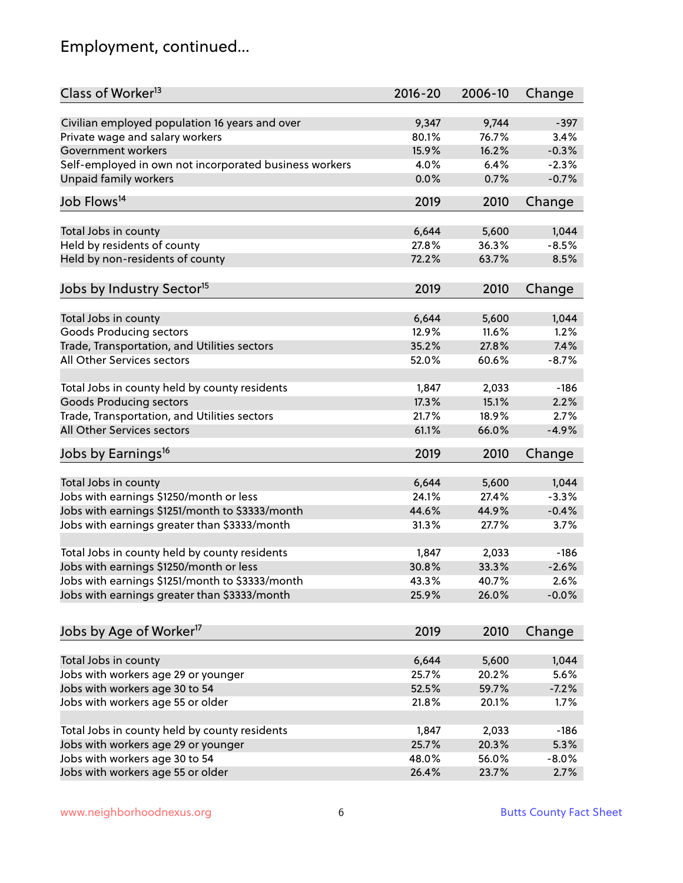# Employment, continued...

| Class of Worker <sup>13</sup>                          | $2016 - 20$ | 2006-10 | Change  |
|--------------------------------------------------------|-------------|---------|---------|
| Civilian employed population 16 years and over         | 9,347       | 9,744   | $-397$  |
| Private wage and salary workers                        | 80.1%       | 76.7%   | 3.4%    |
| Government workers                                     | 15.9%       | 16.2%   | $-0.3%$ |
| Self-employed in own not incorporated business workers | 4.0%        | 6.4%    | $-2.3%$ |
| Unpaid family workers                                  | 0.0%        | 0.7%    | $-0.7%$ |
|                                                        |             |         |         |
| Job Flows <sup>14</sup>                                | 2019        | 2010    | Change  |
| Total Jobs in county                                   | 6,644       | 5,600   | 1,044   |
| Held by residents of county                            | 27.8%       | 36.3%   | $-8.5%$ |
| Held by non-residents of county                        | 72.2%       | 63.7%   | 8.5%    |
|                                                        |             |         |         |
| Jobs by Industry Sector <sup>15</sup>                  | 2019        | 2010    | Change  |
| Total Jobs in county                                   | 6,644       | 5,600   | 1,044   |
| <b>Goods Producing sectors</b>                         | 12.9%       | 11.6%   | 1.2%    |
| Trade, Transportation, and Utilities sectors           | 35.2%       | 27.8%   | 7.4%    |
| All Other Services sectors                             | 52.0%       | 60.6%   | $-8.7%$ |
|                                                        |             |         |         |
| Total Jobs in county held by county residents          | 1,847       | 2,033   | $-186$  |
| <b>Goods Producing sectors</b>                         | 17.3%       | 15.1%   | 2.2%    |
| Trade, Transportation, and Utilities sectors           | 21.7%       | 18.9%   | 2.7%    |
| All Other Services sectors                             | 61.1%       | 66.0%   | $-4.9%$ |
| Jobs by Earnings <sup>16</sup>                         | 2019        | 2010    | Change  |
|                                                        |             |         |         |
| Total Jobs in county                                   | 6,644       | 5,600   | 1,044   |
| Jobs with earnings \$1250/month or less                | 24.1%       | 27.4%   | $-3.3%$ |
| Jobs with earnings \$1251/month to \$3333/month        | 44.6%       | 44.9%   | $-0.4%$ |
| Jobs with earnings greater than \$3333/month           | 31.3%       | 27.7%   | 3.7%    |
| Total Jobs in county held by county residents          | 1,847       | 2,033   | $-186$  |
| Jobs with earnings \$1250/month or less                | 30.8%       | 33.3%   | $-2.6%$ |
| Jobs with earnings \$1251/month to \$3333/month        | 43.3%       | 40.7%   | $2.6\%$ |
| Jobs with earnings greater than \$3333/month           | 25.9%       | 26.0%   | $-0.0%$ |
|                                                        |             |         |         |
| Jobs by Age of Worker <sup>17</sup>                    | 2019        | 2010    | Change  |
| Total Jobs in county                                   | 6,644       | 5,600   | 1,044   |
| Jobs with workers age 29 or younger                    | 25.7%       | 20.2%   | 5.6%    |
| Jobs with workers age 30 to 54                         | 52.5%       | 59.7%   | $-7.2%$ |
| Jobs with workers age 55 or older                      | 21.8%       | 20.1%   | 1.7%    |
|                                                        |             |         |         |
| Total Jobs in county held by county residents          | 1,847       | 2,033   | $-186$  |
| Jobs with workers age 29 or younger                    | 25.7%       | 20.3%   | 5.3%    |
| Jobs with workers age 30 to 54                         | 48.0%       | 56.0%   | $-8.0%$ |
| Jobs with workers age 55 or older                      | 26.4%       | 23.7%   | 2.7%    |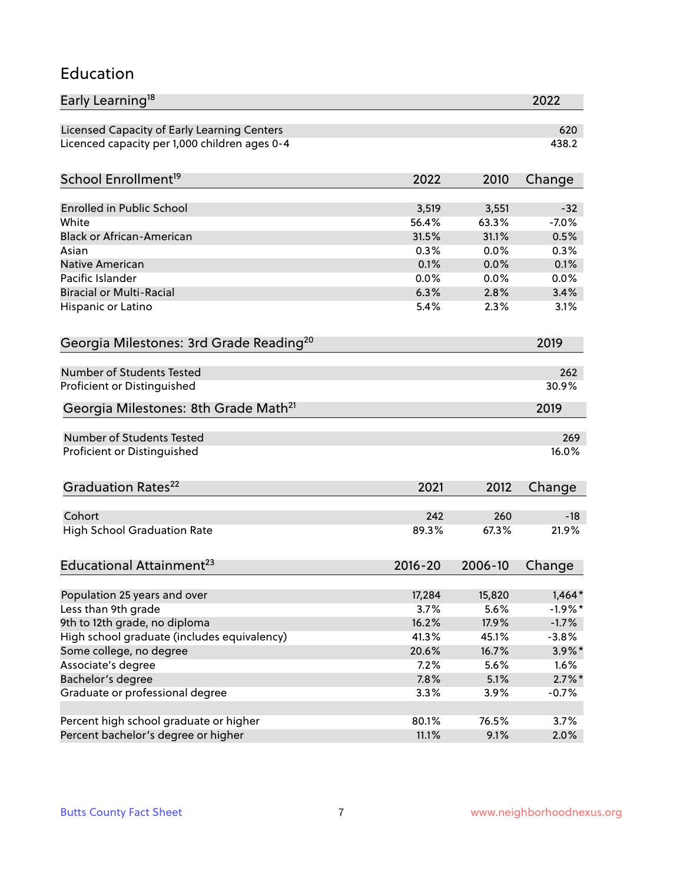#### Education

| Early Learning <sup>18</sup>                        |              |              | 2022         |
|-----------------------------------------------------|--------------|--------------|--------------|
| Licensed Capacity of Early Learning Centers         |              |              | 620          |
| Licenced capacity per 1,000 children ages 0-4       |              |              | 438.2        |
| School Enrollment <sup>19</sup>                     | 2022         | 2010         | Change       |
|                                                     |              |              |              |
| <b>Enrolled in Public School</b>                    | 3,519        | 3,551        | $-32$        |
| White<br><b>Black or African-American</b>           | 56.4%        | 63.3%        | $-7.0%$      |
|                                                     | 31.5%        | 31.1%        | 0.5%<br>0.3% |
| Asian<br><b>Native American</b>                     | 0.3%         | 0.0%         |              |
| Pacific Islander                                    | 0.1%<br>0.0% | 0.0%         | 0.1%         |
| <b>Biracial or Multi-Racial</b>                     | 6.3%         | 0.0%<br>2.8% | 0.0%<br>3.4% |
|                                                     |              |              |              |
| Hispanic or Latino                                  | 5.4%         | 2.3%         | 3.1%         |
| Georgia Milestones: 3rd Grade Reading <sup>20</sup> |              |              | 2019         |
| <b>Number of Students Tested</b>                    |              |              | 262          |
| Proficient or Distinguished                         |              |              | 30.9%        |
| Georgia Milestones: 8th Grade Math <sup>21</sup>    |              |              | 2019         |
|                                                     |              |              |              |
| <b>Number of Students Tested</b>                    |              |              | 269          |
| Proficient or Distinguished                         |              |              | 16.0%        |
| Graduation Rates <sup>22</sup>                      | 2021         | 2012         | Change       |
| Cohort                                              | 242          | 260          | $-18$        |
| <b>High School Graduation Rate</b>                  | 89.3%        | 67.3%        | 21.9%        |
|                                                     |              |              |              |
| Educational Attainment <sup>23</sup>                | $2016 - 20$  | 2006-10      | Change       |
| Population 25 years and over                        | 17,284       | 15,820       | $1,464*$     |
| Less than 9th grade                                 | 3.7%         | 5.6%         | $-1.9%$ *    |
| 9th to 12th grade, no diploma                       | 16.2%        | 17.9%        | $-1.7%$      |
| High school graduate (includes equivalency)         | 41.3%        | 45.1%        | $-3.8%$      |
| Some college, no degree                             | 20.6%        | 16.7%        | $3.9\%$ *    |
| Associate's degree                                  | 7.2%         | 5.6%         | 1.6%         |
| Bachelor's degree                                   | 7.8%         | 5.1%         | $2.7\%$ *    |
| Graduate or professional degree                     | 3.3%         | 3.9%         |              |
|                                                     |              |              | $-0.7%$      |
| Percent high school graduate or higher              | 80.1%        | 76.5%        | 3.7%         |
| Percent bachelor's degree or higher                 | 11.1%        | 9.1%         | 2.0%         |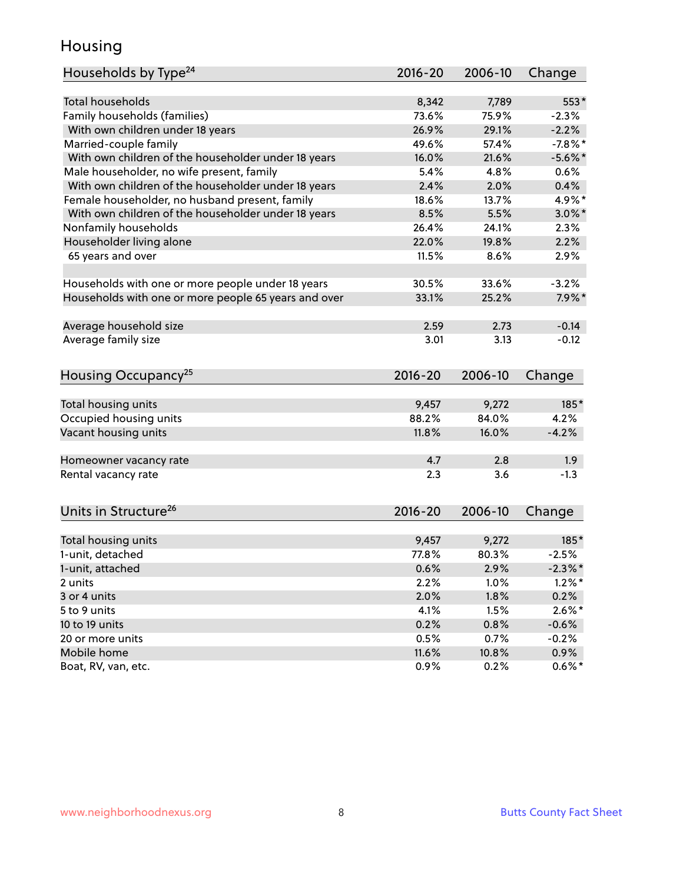### Housing

| Households by Type <sup>24</sup>                     | 2016-20       | 2006-10       | Change             |
|------------------------------------------------------|---------------|---------------|--------------------|
|                                                      |               |               |                    |
| <b>Total households</b>                              | 8,342         | 7,789         | 553*               |
| Family households (families)                         | 73.6%         | 75.9%         | $-2.3%$            |
| With own children under 18 years                     | 26.9%         | 29.1%         | $-2.2%$            |
| Married-couple family                                | 49.6%         | 57.4%         | $-7.8%$ *          |
| With own children of the householder under 18 years  | 16.0%         | 21.6%         | $-5.6\%$ *         |
| Male householder, no wife present, family            | 5.4%          | 4.8%          | $0.6\%$            |
| With own children of the householder under 18 years  | 2.4%          | 2.0%          | 0.4%               |
| Female householder, no husband present, family       | 18.6%         | 13.7%         | 4.9%*              |
| With own children of the householder under 18 years  | 8.5%          | 5.5%          | $3.0\%$ *          |
| Nonfamily households                                 | 26.4%         | 24.1%         | 2.3%               |
| Householder living alone                             | 22.0%         | 19.8%         | 2.2%               |
| 65 years and over                                    | 11.5%         | 8.6%          | 2.9%               |
|                                                      |               |               |                    |
| Households with one or more people under 18 years    | 30.5%         | 33.6%         | $-3.2%$            |
| Households with one or more people 65 years and over | 33.1%         | 25.2%         | $7.9\%$ *          |
|                                                      |               |               |                    |
| Average household size                               | 2.59          | 2.73          | $-0.14$            |
| Average family size                                  | 3.01          | 3.13          | $-0.12$            |
| Housing Occupancy <sup>25</sup>                      | 2016-20       | 2006-10       | Change             |
|                                                      |               |               |                    |
| Total housing units                                  | 9,457         | 9,272         | 185*               |
| Occupied housing units                               | 88.2%         | 84.0%         | 4.2%               |
| Vacant housing units                                 | 11.8%         | 16.0%         | $-4.2%$            |
| Homeowner vacancy rate                               | 4.7           | 2.8           | 1.9                |
| Rental vacancy rate                                  | 2.3           | 3.6           | $-1.3$             |
|                                                      |               |               |                    |
| Units in Structure <sup>26</sup>                     | $2016 - 20$   | 2006-10       | Change             |
| Total housing units                                  | 9,457         | 9,272         | $185*$             |
| 1-unit, detached                                     | 77.8%         | 80.3%         | $-2.5%$            |
| 1-unit, attached                                     | 0.6%          | 2.9%          | $-2.3\%$ *         |
| 2 units                                              | 2.2%          | 1.0%          | $1.2\%$ *          |
| 3 or 4 units                                         | 2.0%          | 1.8%          | 0.2%               |
| 5 to 9 units                                         | 4.1%          | 1.5%          | $2.6\%$ *          |
| 10 to 19 units                                       | 0.2%          | 0.8%          |                    |
|                                                      |               |               | $-0.6%$            |
| 20 or more units<br>Mobile home                      | 0.5%<br>11.6% | 0.7%<br>10.8% | $-0.2%$<br>$0.9\%$ |
| Boat, RV, van, etc.                                  | 0.9%          | 0.2%          | $0.6\%*$           |
|                                                      |               |               |                    |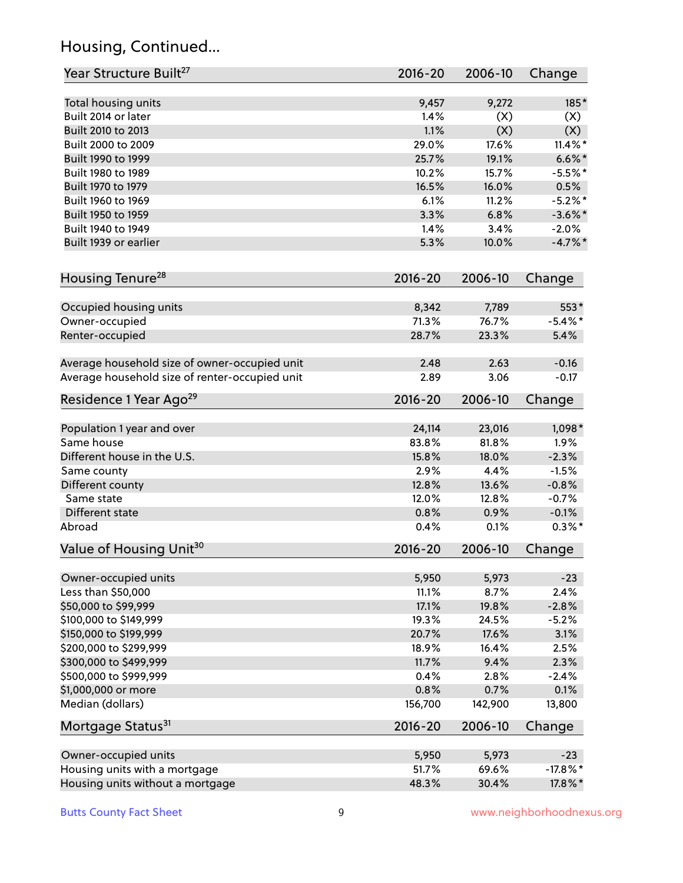# Housing, Continued...

| Year Structure Built <sup>27</sup>             | 2016-20     | 2006-10 | Change      |
|------------------------------------------------|-------------|---------|-------------|
| Total housing units                            | 9,457       | 9,272   | 185*        |
| Built 2014 or later                            | 1.4%        | (X)     | (X)         |
| Built 2010 to 2013                             | 1.1%        | (X)     | (X)         |
| Built 2000 to 2009                             | 29.0%       | 17.6%   | $11.4\%$ *  |
|                                                | 25.7%       | 19.1%   |             |
| Built 1990 to 1999                             |             |         | $6.6\%$ *   |
| Built 1980 to 1989                             | 10.2%       | 15.7%   | $-5.5%$ *   |
| Built 1970 to 1979                             | 16.5%       | 16.0%   | 0.5%        |
| Built 1960 to 1969                             | 6.1%        | 11.2%   | $-5.2%$     |
| Built 1950 to 1959                             | 3.3%        | 6.8%    | $-3.6\%$ *  |
| Built 1940 to 1949                             | 1.4%        | 3.4%    | $-2.0%$     |
| Built 1939 or earlier                          | 5.3%        | 10.0%   | $-4.7\%$ *  |
| Housing Tenure <sup>28</sup>                   | $2016 - 20$ | 2006-10 | Change      |
| Occupied housing units                         | 8,342       | 7,789   | 553*        |
| Owner-occupied                                 | 71.3%       | 76.7%   | $-5.4\%$ *  |
| Renter-occupied                                | 28.7%       | 23.3%   | 5.4%        |
|                                                |             |         |             |
| Average household size of owner-occupied unit  | 2.48        | 2.63    | $-0.16$     |
| Average household size of renter-occupied unit | 2.89        | 3.06    | $-0.17$     |
| Residence 1 Year Ago <sup>29</sup>             | 2016-20     | 2006-10 | Change      |
| Population 1 year and over                     | 24,114      | 23,016  | 1,098*      |
| Same house                                     | 83.8%       | 81.8%   | 1.9%        |
| Different house in the U.S.                    | 15.8%       | 18.0%   | $-2.3%$     |
| Same county                                    | 2.9%        | 4.4%    | $-1.5%$     |
| Different county                               | 12.8%       | 13.6%   | $-0.8%$     |
| Same state                                     | 12.0%       | 12.8%   | $-0.7%$     |
| Different state                                | 0.8%        | 0.9%    | $-0.1%$     |
| Abroad                                         | 0.4%        | 0.1%    | $0.3\%$ *   |
| Value of Housing Unit <sup>30</sup>            | 2016-20     | 2006-10 | Change      |
|                                                |             |         |             |
| Owner-occupied units                           | 5,950       | 5,973   | $-23$       |
| Less than \$50,000                             | 11.1%       | 8.7%    | 2.4%        |
| \$50,000 to \$99,999                           | 17.1%       | 19.8%   | $-2.8%$     |
| \$100,000 to \$149,999                         | 19.3%       | 24.5%   | $-5.2%$     |
| \$150,000 to \$199,999                         | 20.7%       | 17.6%   | 3.1%        |
| \$200,000 to \$299,999                         | 18.9%       | 16.4%   | 2.5%        |
| \$300,000 to \$499,999                         | 11.7%       | 9.4%    | 2.3%        |
| \$500,000 to \$999,999                         | 0.4%        | 2.8%    | $-2.4%$     |
| \$1,000,000 or more                            | 0.8%        | 0.7%    | 0.1%        |
| Median (dollars)                               | 156,700     | 142,900 | 13,800      |
| Mortgage Status <sup>31</sup>                  | $2016 - 20$ | 2006-10 | Change      |
| Owner-occupied units                           | 5,950       | 5,973   | $-23$       |
| Housing units with a mortgage                  | 51.7%       | 69.6%   | $-17.8\%$ * |
| Housing units without a mortgage               | 48.3%       | 30.4%   | 17.8%*      |
|                                                |             |         |             |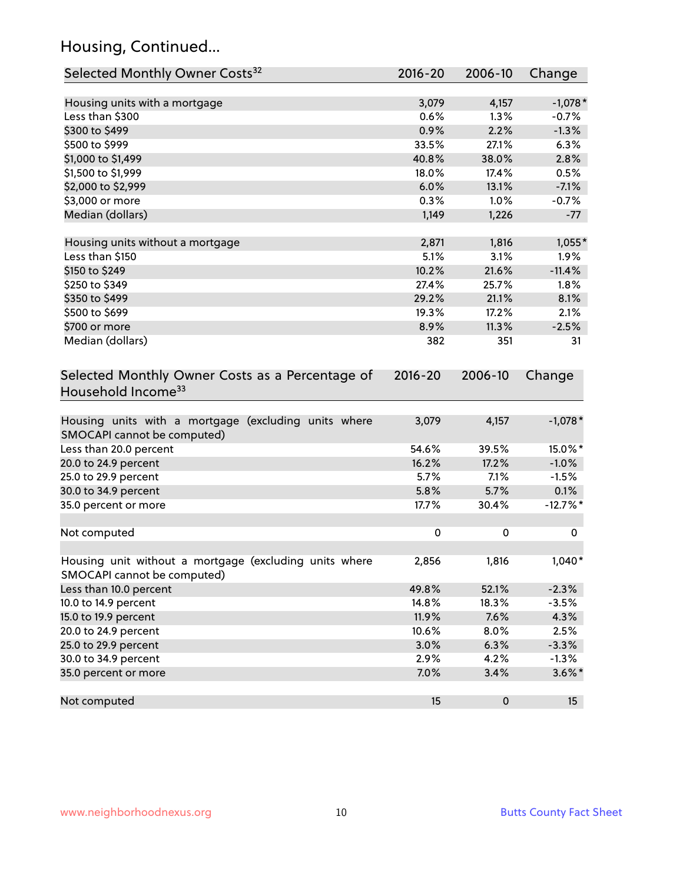# Housing, Continued...

| Selected Monthly Owner Costs <sup>32</sup>                                            | 2016-20     | 2006-10   | Change     |
|---------------------------------------------------------------------------------------|-------------|-----------|------------|
| Housing units with a mortgage                                                         | 3,079       | 4,157     | $-1,078*$  |
| Less than \$300                                                                       | 0.6%        | 1.3%      | $-0.7%$    |
| \$300 to \$499                                                                        | 0.9%        | 2.2%      | $-1.3%$    |
| \$500 to \$999                                                                        | 33.5%       | 27.1%     | 6.3%       |
| \$1,000 to \$1,499                                                                    | 40.8%       | 38.0%     | 2.8%       |
| \$1,500 to \$1,999                                                                    | 18.0%       | 17.4%     | 0.5%       |
| \$2,000 to \$2,999                                                                    | 6.0%        | 13.1%     | $-7.1%$    |
| \$3,000 or more                                                                       | 0.3%        | 1.0%      | $-0.7%$    |
| Median (dollars)                                                                      | 1,149       | 1,226     | $-77$      |
| Housing units without a mortgage                                                      | 2,871       | 1,816     | $1,055*$   |
| Less than \$150                                                                       | 5.1%        | 3.1%      | 1.9%       |
| \$150 to \$249                                                                        | 10.2%       | 21.6%     | $-11.4%$   |
| \$250 to \$349                                                                        | 27.4%       | 25.7%     | 1.8%       |
| \$350 to \$499                                                                        | 29.2%       | 21.1%     | 8.1%       |
| \$500 to \$699                                                                        | 19.3%       | 17.2%     | 2.1%       |
| \$700 or more                                                                         | 8.9%        | 11.3%     | $-2.5%$    |
| Median (dollars)                                                                      | 382         | 351       | 31         |
| Selected Monthly Owner Costs as a Percentage of<br>Household Income <sup>33</sup>     | $2016 - 20$ | 2006-10   | Change     |
| Housing units with a mortgage (excluding units where<br>SMOCAPI cannot be computed)   | 3,079       | 4,157     | $-1,078*$  |
| Less than 20.0 percent                                                                | 54.6%       | 39.5%     | 15.0%*     |
| 20.0 to 24.9 percent                                                                  | 16.2%       | 17.2%     | $-1.0%$    |
| 25.0 to 29.9 percent                                                                  | 5.7%        | 7.1%      | $-1.5%$    |
| 30.0 to 34.9 percent                                                                  | 5.8%        | 5.7%      | 0.1%       |
| 35.0 percent or more                                                                  | 17.7%       | 30.4%     | $-12.7%$ * |
| Not computed                                                                          | $\pmb{0}$   | 0         | 0          |
| Housing unit without a mortgage (excluding units where<br>SMOCAPI cannot be computed) | 2,856       | 1,816     | $1,040*$   |
| Less than 10.0 percent                                                                | 49.8%       | 52.1%     | $-2.3%$    |
| 10.0 to 14.9 percent                                                                  | 14.8%       | 18.3%     | $-3.5%$    |
| 15.0 to 19.9 percent                                                                  | 11.9%       | 7.6%      | 4.3%       |
| 20.0 to 24.9 percent                                                                  | 10.6%       | $8.0\%$   | 2.5%       |
| 25.0 to 29.9 percent                                                                  | 3.0%        | 6.3%      | $-3.3%$    |
| 30.0 to 34.9 percent                                                                  | 2.9%        | 4.2%      | $-1.3%$    |
| 35.0 percent or more                                                                  | 7.0%        | 3.4%      | $3.6\%$ *  |
| Not computed                                                                          | 15          | $\pmb{0}$ | 15         |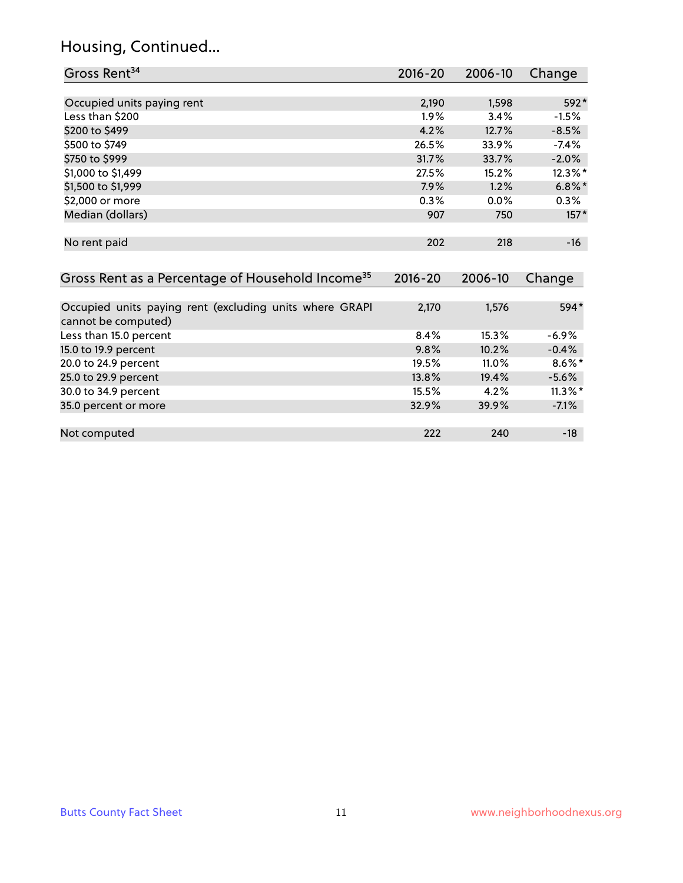# Housing, Continued...

| Gross Rent <sup>34</sup>                                                       | $2016 - 20$ | 2006-10 | Change     |
|--------------------------------------------------------------------------------|-------------|---------|------------|
|                                                                                |             |         |            |
| Occupied units paying rent                                                     | 2,190       | 1,598   | 592*       |
| Less than \$200                                                                | 1.9%        | 3.4%    | $-1.5%$    |
| \$200 to \$499                                                                 | 4.2%        | 12.7%   | $-8.5%$    |
| \$500 to \$749                                                                 | 26.5%       | 33.9%   | $-7.4\%$   |
| \$750 to \$999                                                                 | 31.7%       | 33.7%   | $-2.0%$    |
| \$1,000 to \$1,499                                                             | 27.5%       | 15.2%   | 12.3%*     |
| \$1,500 to \$1,999                                                             | 7.9%        | 1.2%    | $6.8\%$ *  |
| \$2,000 or more                                                                | 0.3%        | 0.0%    | 0.3%       |
| Median (dollars)                                                               | 907         | 750     | $157*$     |
| No rent paid                                                                   | 202         | 218     | $-16$      |
| Gross Rent as a Percentage of Household Income <sup>35</sup>                   | $2016 - 20$ | 2006-10 | Change     |
| Occupied units paying rent (excluding units where GRAPI<br>cannot be computed) | 2,170       | 1,576   | 594*       |
| Less than 15.0 percent                                                         | 8.4%        | 15.3%   | $-6.9%$    |
| 15.0 to 19.9 percent                                                           | 9.8%        | 10.2%   | $-0.4%$    |
| 20.0 to 24.9 percent                                                           | 19.5%       | 11.0%   | $8.6\%*$   |
| 25.0 to 29.9 percent                                                           | 13.8%       | 19.4%   | $-5.6%$    |
| 30.0 to 34.9 percent                                                           | 15.5%       | 4.2%    | $11.3\%$ * |
| 35.0 percent or more                                                           | 32.9%       | 39.9%   | $-7.1%$    |

Not computed and the computed computed and the computed computed computed and  $222$  240  $-18$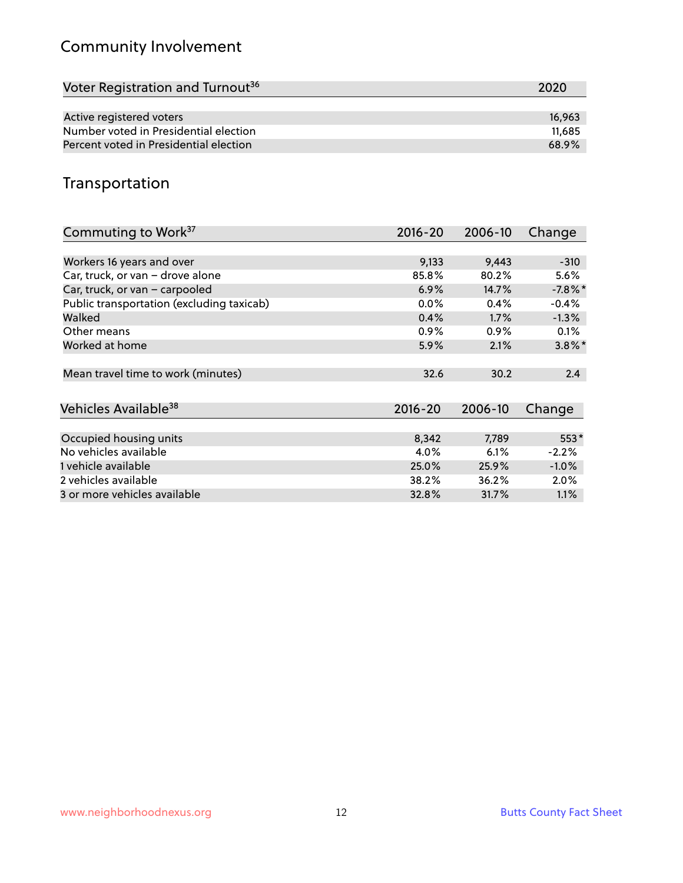# Community Involvement

| Voter Registration and Turnout <sup>36</sup> | 2020   |
|----------------------------------------------|--------|
|                                              |        |
| Active registered voters                     | 16,963 |
| Number voted in Presidential election        | 11.685 |
| Percent voted in Presidential election       | 68.9%  |

# Transportation

| Commuting to Work <sup>37</sup>           | 2016-20     | 2006-10 | Change    |
|-------------------------------------------|-------------|---------|-----------|
|                                           |             |         |           |
| Workers 16 years and over                 | 9,133       | 9,443   | $-310$    |
| Car, truck, or van - drove alone          | 85.8%       | 80.2%   | 5.6%      |
| Car, truck, or van - carpooled            | 6.9%        | 14.7%   | $-7.8\%$  |
| Public transportation (excluding taxicab) | $0.0\%$     | 0.4%    | $-0.4%$   |
| Walked                                    | 0.4%        | 1.7%    | $-1.3%$   |
| Other means                               | $0.9\%$     | $0.9\%$ | 0.1%      |
| Worked at home                            | 5.9%        | 2.1%    | $3.8\%$ * |
|                                           |             |         |           |
| Mean travel time to work (minutes)        | 32.6        | 30.2    | 2.4       |
|                                           |             |         |           |
| Vehicles Available <sup>38</sup>          | $2016 - 20$ | 2006-10 | Change    |
|                                           |             |         |           |
| Occupied housing units                    | 8,342       | 7,789   | 553*      |
| No vehicles available                     | 4.0%        | 6.1%    | $-2.2%$   |
| 1 vehicle available                       | 25.0%       | 25.9%   | $-1.0%$   |
| 2 vehicles available                      | 38.2%       | 36.2%   | $2.0\%$   |
| 3 or more vehicles available              | 32.8%       | 31.7%   | $1.1\%$   |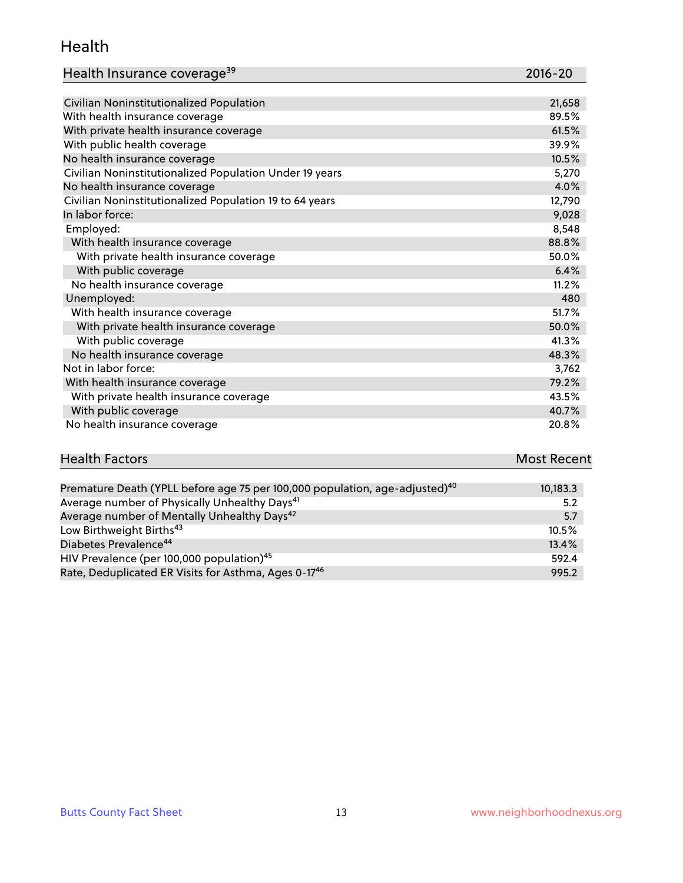#### Health

| Health Insurance coverage <sup>39</sup> | 2016-20 |
|-----------------------------------------|---------|
|-----------------------------------------|---------|

| Civilian Noninstitutionalized Population                | 21,658 |
|---------------------------------------------------------|--------|
| With health insurance coverage                          | 89.5%  |
| With private health insurance coverage                  | 61.5%  |
| With public health coverage                             | 39.9%  |
| No health insurance coverage                            | 10.5%  |
| Civilian Noninstitutionalized Population Under 19 years | 5,270  |
| No health insurance coverage                            | 4.0%   |
| Civilian Noninstitutionalized Population 19 to 64 years | 12,790 |
| In labor force:                                         | 9,028  |
| Employed:                                               | 8,548  |
| With health insurance coverage                          | 88.8%  |
| With private health insurance coverage                  | 50.0%  |
| With public coverage                                    | 6.4%   |
| No health insurance coverage                            | 11.2%  |
| Unemployed:                                             | 480    |
| With health insurance coverage                          | 51.7%  |
| With private health insurance coverage                  | 50.0%  |
| With public coverage                                    | 41.3%  |
| No health insurance coverage                            | 48.3%  |
| Not in labor force:                                     | 3,762  |
| With health insurance coverage                          | 79.2%  |
| With private health insurance coverage                  | 43.5%  |
| With public coverage                                    | 40.7%  |
| No health insurance coverage                            | 20.8%  |

| <b>Health Factors</b> | <b>Most Recent</b> |
|-----------------------|--------------------|
|                       |                    |

| Premature Death (YPLL before age 75 per 100,000 population, age-adjusted) <sup>40</sup> | 10,183.3 |
|-----------------------------------------------------------------------------------------|----------|
| Average number of Physically Unhealthy Days <sup>41</sup>                               | 5.2      |
| Average number of Mentally Unhealthy Days <sup>42</sup>                                 | 5.7      |
| Low Birthweight Births <sup>43</sup>                                                    | 10.5%    |
| Diabetes Prevalence <sup>44</sup>                                                       | 13.4%    |
| HIV Prevalence (per 100,000 population) <sup>45</sup>                                   | 592.4    |
| Rate, Deduplicated ER Visits for Asthma, Ages 0-17 <sup>46</sup>                        | 995.2    |